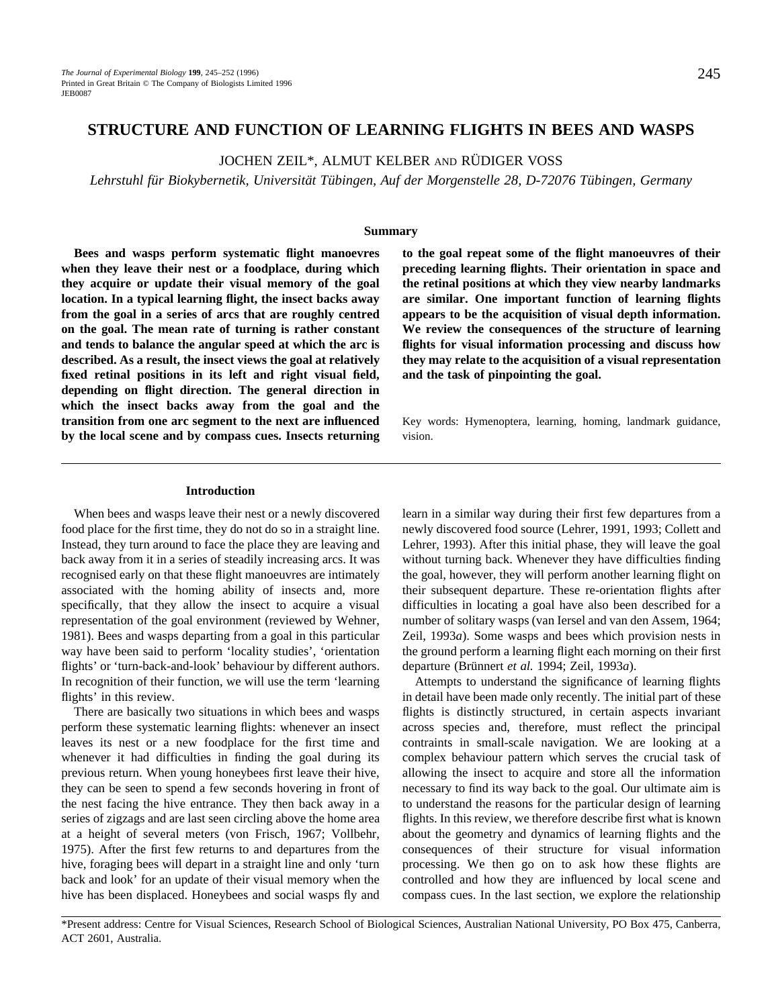# **STRUCTURE AND FUNCTION OF LEARNING FLIGHTS IN BEES AND WASPS**

JOCHEN ZEIL\*, ALMUT KELBER AND RÜDIGER VOSS

*Lehrstuhl für Biokybernetik, Universität Tübingen, Auf der Morgenstelle 28, D-72076 Tübingen, Germany*

### **Summary**

**Bees and wasps perform systematic flight manoevres when they leave their nest or a foodplace, during which they acquire or update their visual memory of the goal location. In a typical learning flight, the insect backs away from the goal in a series of arcs that are roughly centred on the goal. The mean rate of turning is rather constant and tends to balance the angular speed at which the arc is described. As a result, the insect views the goal at relatively fixed retinal positions in its left and right visual field, depending on flight direction. The general direction in which the insect backs away from the goal and the transition from one arc segment to the next are influenced by the local scene and by compass cues. Insects returning** **to the goal repeat some of the flight manoeuvres of their preceding learning flights. Their orientation in space and the retinal positions at which they view nearby landmarks are similar. One important function of learning flights appears to be the acquisition of visual depth information. We review the consequences of the structure of learning flights for visual information processing and discuss how they may relate to the acquisition of a visual representation and the task of pinpointing the goal.**

Key words: Hymenoptera, learning, homing, landmark guidance, vision.

### **Introduction**

When bees and wasps leave their nest or a newly discovered food place for the first time, they do not do so in a straight line. Instead, they turn around to face the place they are leaving and back away from it in a series of steadily increasing arcs. It was recognised early on that these flight manoeuvres are intimately associated with the homing ability of insects and, more specifically, that they allow the insect to acquire a visual representation of the goal environment (reviewed by Wehner, 1981). Bees and wasps departing from a goal in this particular way have been said to perform 'locality studies', 'orientation flights' or 'turn-back-and-look' behaviour by different authors. In recognition of their function, we will use the term 'learning flights' in this review.

There are basically two situations in which bees and wasps perform these systematic learning flights: whenever an insect leaves its nest or a new foodplace for the first time and whenever it had difficulties in finding the goal during its previous return. When young honeybees first leave their hive, they can be seen to spend a few seconds hovering in front of the nest facing the hive entrance. They then back away in a series of zigzags and are last seen circling above the home area at a height of several meters (von Frisch, 1967; Vollbehr, 1975). After the first few returns to and departures from the hive, foraging bees will depart in a straight line and only 'turn back and look' for an update of their visual memory when the hive has been displaced. Honeybees and social wasps fly and

learn in a similar way during their first few departures from a newly discovered food source (Lehrer, 1991, 1993; Collett and Lehrer, 1993). After this initial phase, they will leave the goal without turning back. Whenever they have difficulties finding the goal, however, they will perform another learning flight on their subsequent departure. These re-orientation flights after difficulties in locating a goal have also been described for a number of solitary wasps (van Iersel and van den Assem, 1964; Zeil, 1993*a*). Some wasps and bees which provision nests in the ground perform a learning flight each morning on their first departure (Brünnert *et al.* 1994; Zeil, 1993*a*).

Attempts to understand the significance of learning flights in detail have been made only recently. The initial part of these flights is distinctly structured, in certain aspects invariant across species and, therefore, must reflect the principal contraints in small-scale navigation. We are looking at a complex behaviour pattern which serves the crucial task of allowing the insect to acquire and store all the information necessary to find its way back to the goal. Our ultimate aim is to understand the reasons for the particular design of learning flights. In this review, we therefore describe first what is known about the geometry and dynamics of learning flights and the consequences of their structure for visual information processing. We then go on to ask how these flights are controlled and how they are influenced by local scene and compass cues. In the last section, we explore the relationship

\*Present address: Centre for Visual Sciences, Research School of Biological Sciences, Australian National University, PO Box 475, Canberra, ACT 2601, Australia.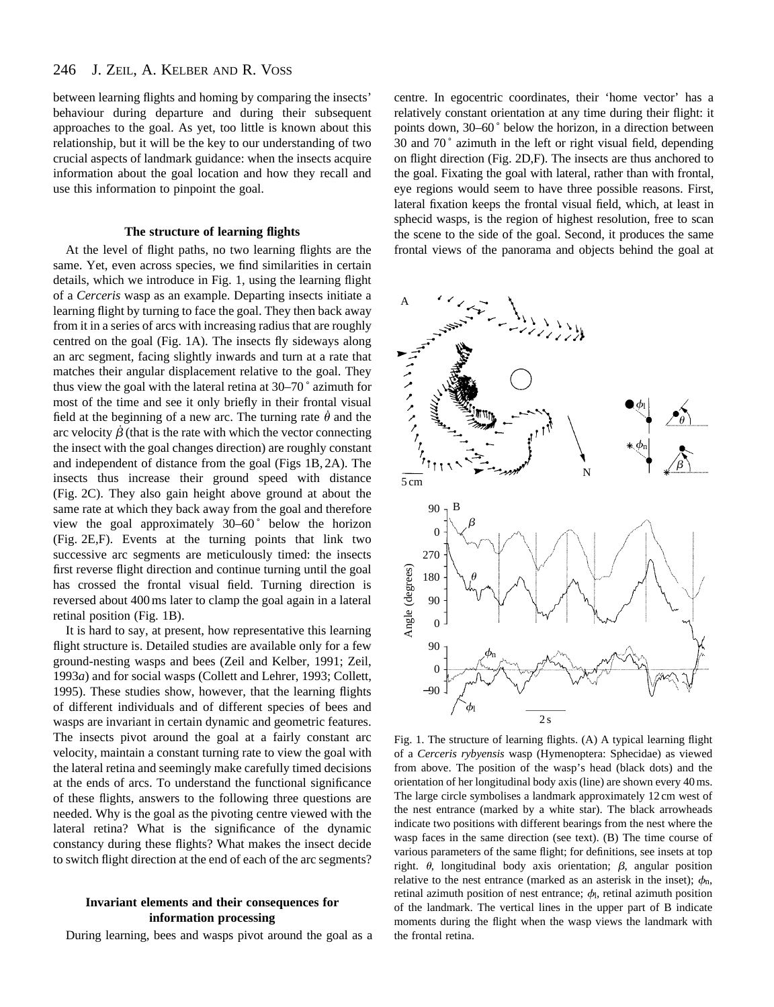#### 246 J. ZEIL, A. KELBER AND R. VOSS

between learning flights and homing by comparing the insects' behaviour during departure and during their subsequent approaches to the goal. As yet, too little is known about this relationship, but it will be the key to our understanding of two crucial aspects of landmark guidance: when the insects acquire information about the goal location and how they recall and use this information to pinpoint the goal.

## **The structure of learning flights**

At the level of flight paths, no two learning flights are the same. Yet, even across species, we find similarities in certain details, which we introduce in Fig. 1, using the learning flight of a *Cerceris* wasp as an example. Departing insects initiate a learning flight by turning to face the goal. They then back away from it in a series of arcs with increasing radius that are roughly centred on the goal (Fig. 1A). The insects fly sideways along an arc segment, facing slightly inwards and turn at a rate that matches their angular displacement relative to the goal. They thus view the goal with the lateral retina at 30–70 ˚ azimuth for most of the time and see it only briefly in their frontal visual field at the beginning of a new arc. The turning rate  $\dot{\theta}$  and the arc velocity  $\dot{\beta}$  (that is the rate with which the vector connecting the insect with the goal changes direction) are roughly constant and independent of distance from the goal (Figs 1B, 2A). The insects thus increase their ground speed with distance (Fig. 2C). They also gain height above ground at about the same rate at which they back away from the goal and therefore view the goal approximately 30–60° below the horizon (Fig. 2E,F). Events at the turning points that link two successive arc segments are meticulously timed: the insects first reverse flight direction and continue turning until the goal has crossed the frontal visual field. Turning direction is reversed about 400 ms later to clamp the goal again in a lateral retinal position (Fig. 1B).

It is hard to say, at present, how representative this learning flight structure is. Detailed studies are available only for a few ground-nesting wasps and bees (Zeil and Kelber, 1991; Zeil, 1993*a*) and for social wasps (Collett and Lehrer, 1993; Collett, 1995). These studies show, however, that the learning flights of different individuals and of different species of bees and wasps are invariant in certain dynamic and geometric features. The insects pivot around the goal at a fairly constant arc velocity, maintain a constant turning rate to view the goal with the lateral retina and seemingly make carefully timed decisions at the ends of arcs. To understand the functional significance of these flights, answers to the following three questions are needed. Why is the goal as the pivoting centre viewed with the lateral retina? What is the significance of the dynamic constancy during these flights? What makes the insect decide to switch flight direction at the end of each of the arc segments?

# **Invariant elements and their consequences for information processing**

During learning, bees and wasps pivot around the goal as a

centre. In egocentric coordinates, their 'home vector' has a relatively constant orientation at any time during their flight: it points down, 30–60 ˚ below the horizon, in a direction between 30 and 70 ˚ azimuth in the left or right visual field, depending on flight direction (Fig. 2D,F). The insects are thus anchored to the goal. Fixating the goal with lateral, rather than with frontal, eye regions would seem to have three possible reasons. First, lateral fixation keeps the frontal visual field, which, at least in sphecid wasps, is the region of highest resolution, free to scan the scene to the side of the goal. Second, it produces the same frontal views of the panorama and objects behind the goal at



Fig. 1. The structure of learning flights. (A) A typical learning flight of a *Cerceris rybyensis* wasp (Hymenoptera: Sphecidae) as viewed from above. The position of the wasp's head (black dots) and the orientation of her longitudinal body axis (line) are shown every 40 ms. The large circle symbolises a landmark approximately 12 cm west of the nest entrance (marked by a white star). The black arrowheads indicate two positions with different bearings from the nest where the wasp faces in the same direction (see text). (B) The time course of various parameters of the same flight; for definitions, see insets at top right.  $\theta$ , longitudinal body axis orientation;  $\beta$ , angular position relative to the nest entrance (marked as an asterisk in the inset);  $\phi_n$ , retinal azimuth position of nest entrance;  $\phi$ , retinal azimuth position of the landmark. The vertical lines in the upper part of B indicate moments during the flight when the wasp views the landmark with the frontal retina.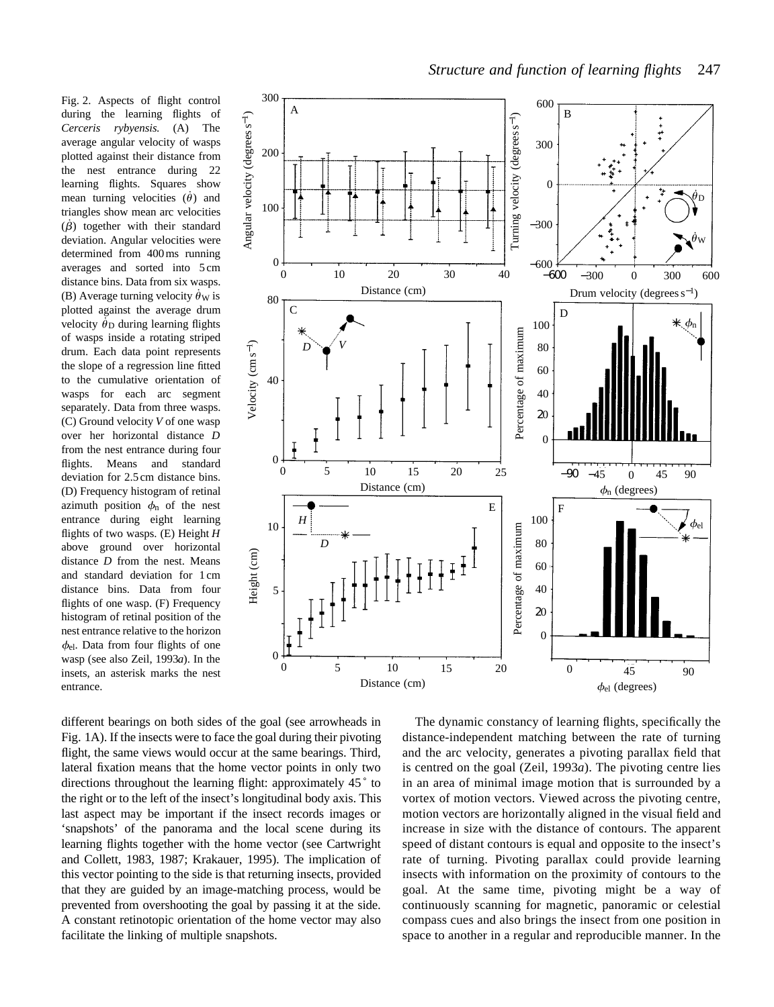Fig. 2. Aspects of flight control during the learning flights of *Cerceris rybyensis*. (A) The average angular velocity of wasps plotted against their distance from the nest entrance during 22 learning flights. Squares show mean turning velocities  $(\dot{\theta})$  and triangles show mean arc velocities  $(\dot{\beta})$  together with their standard deviation. Angular velocities were determined from 400 ms running averages and sorted into 5 cm distance bins. Data from six wasps. (B) Average turning velocity  $\dot{\theta}_W$  is plotted against the average drum velocity  $\dot{\theta}_D$  during learning flights of wasps inside a rotating striped drum. Each data point represents the slope of a regression line fitted to the cumulative orientation of wasps for each arc segment separately. Data from three wasps. (C) Ground velocity *V* of one wasp over her horizontal distance *D* from the nest entrance during four flights. Means and standard deviation for 2.5 cm distance bins. (D) Frequency histogram of retinal azimuth position  $\phi_n$  of the nest entrance during eight learning flights of two wasps. (E) Height *H* above ground over horizontal distance *D* from the nest. Means and standard deviation for 1 cm distance bins. Data from four flights of one wasp. (F) Frequency histogram of retinal position of the nest entrance relative to the horizon  $\phi_{el}$ . Data from four flights of one wasp (see also Zeil, 1993*a*). In the insets, an asterisk marks the nest entrance.



different bearings on both sides of the goal (see arrowheads in Fig. 1A). If the insects were to face the goal during their pivoting flight, the same views would occur at the same bearings. Third, lateral fixation means that the home vector points in only two directions throughout the learning flight: approximately 45 ˚ to the right or to the left of the insect's longitudinal body axis. This last aspect may be important if the insect records images or 'snapshots' of the panorama and the local scene during its learning flights together with the home vector (see Cartwright and Collett, 1983, 1987; Krakauer, 1995). The implication of this vector pointing to the side is that returning insects, provided that they are guided by an image-matching process, would be prevented from overshooting the goal by passing it at the side. A constant retinotopic orientation of the home vector may also facilitate the linking of multiple snapshots.

The dynamic constancy of learning flights, specifically the distance-independent matching between the rate of turning and the arc velocity, generates a pivoting parallax field that is centred on the goal (Zeil, 1993*a*). The pivoting centre lies in an area of minimal image motion that is surrounded by a vortex of motion vectors. Viewed across the pivoting centre, motion vectors are horizontally aligned in the visual field and increase in size with the distance of contours. The apparent speed of distant contours is equal and opposite to the insect's rate of turning. Pivoting parallax could provide learning insects with information on the proximity of contours to the goal. At the same time, pivoting might be a way of continuously scanning for magnetic, panoramic or celestial compass cues and also brings the insect from one position in space to another in a regular and reproducible manner. In the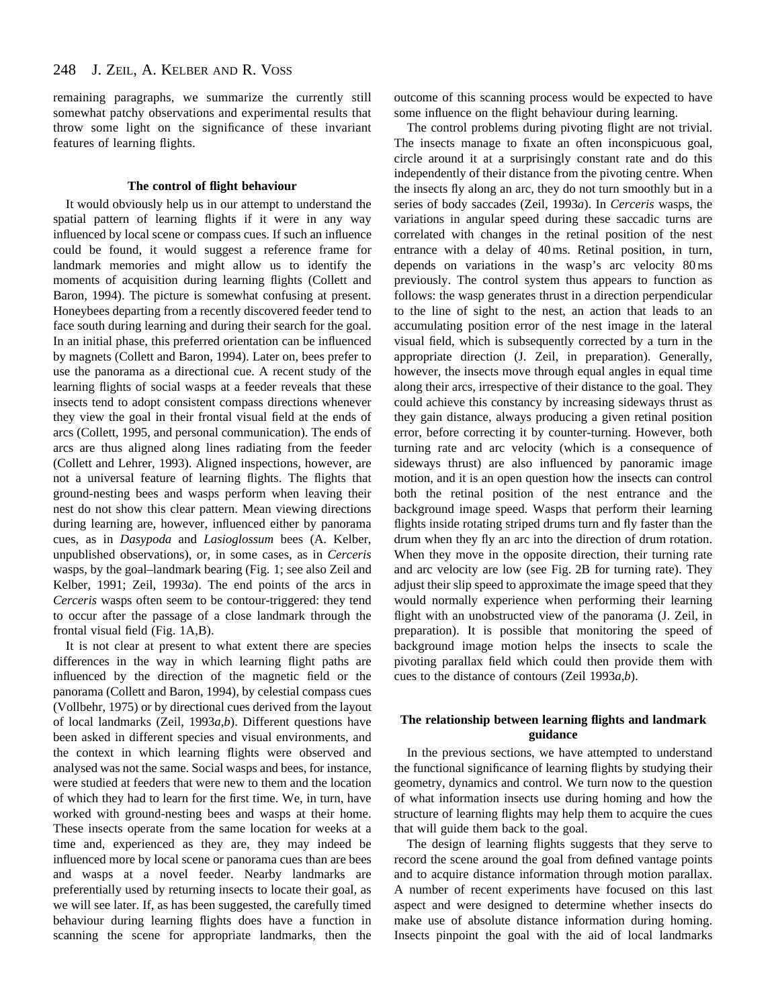remaining paragraphs, we summarize the currently still somewhat patchy observations and experimental results that throw some light on the significance of these invariant features of learning flights.

## **The control of flight behaviour**

It would obviously help us in our attempt to understand the spatial pattern of learning flights if it were in any way influenced by local scene or compass cues. If such an influence could be found, it would suggest a reference frame for landmark memories and might allow us to identify the moments of acquisition during learning flights (Collett and Baron, 1994). The picture is somewhat confusing at present. Honeybees departing from a recently discovered feeder tend to face south during learning and during their search for the goal. In an initial phase, this preferred orientation can be influenced by magnets (Collett and Baron, 1994). Later on, bees prefer to use the panorama as a directional cue. A recent study of the learning flights of social wasps at a feeder reveals that these insects tend to adopt consistent compass directions whenever they view the goal in their frontal visual field at the ends of arcs (Collett, 1995, and personal communication). The ends of arcs are thus aligned along lines radiating from the feeder (Collett and Lehrer, 1993). Aligned inspections, however, are not a universal feature of learning flights. The flights that ground-nesting bees and wasps perform when leaving their nest do not show this clear pattern. Mean viewing directions during learning are, however, influenced either by panorama cues, as in *Dasypoda* and *Lasioglossum* bees (A. Kelber, unpublished observations), or, in some cases, as in *Cerceris* wasps, by the goal–landmark bearing (Fig. 1; see also Zeil and Kelber, 1991; Zeil, 1993*a*). The end points of the arcs in *Cerceris* wasps often seem to be contour-triggered: they tend to occur after the passage of a close landmark through the frontal visual field (Fig. 1A,B).

It is not clear at present to what extent there are species differences in the way in which learning flight paths are influenced by the direction of the magnetic field or the panorama (Collett and Baron, 1994), by celestial compass cues (Vollbehr, 1975) or by directional cues derived from the layout of local landmarks (Zeil, 1993*a*,*b*). Different questions have been asked in different species and visual environments, and the context in which learning flights were observed and analysed was not the same. Social wasps and bees, for instance, were studied at feeders that were new to them and the location of which they had to learn for the first time. We, in turn, have worked with ground-nesting bees and wasps at their home. These insects operate from the same location for weeks at a time and, experienced as they are, they may indeed be influenced more by local scene or panorama cues than are bees and wasps at a novel feeder. Nearby landmarks are preferentially used by returning insects to locate their goal, as we will see later. If, as has been suggested, the carefully timed behaviour during learning flights does have a function in scanning the scene for appropriate landmarks, then the

outcome of this scanning process would be expected to have some influence on the flight behaviour during learning.

The control problems during pivoting flight are not trivial. The insects manage to fixate an often inconspicuous goal, circle around it at a surprisingly constant rate and do this independently of their distance from the pivoting centre. When the insects fly along an arc, they do not turn smoothly but in a series of body saccades (Zeil, 1993*a*). In *Cerceris* wasps, the variations in angular speed during these saccadic turns are correlated with changes in the retinal position of the nest entrance with a delay of 40 ms. Retinal position, in turn, depends on variations in the wasp's arc velocity 80 ms previously. The control system thus appears to function as follows: the wasp generates thrust in a direction perpendicular to the line of sight to the nest, an action that leads to an accumulating position error of the nest image in the lateral visual field, which is subsequently corrected by a turn in the appropriate direction (J. Zeil, in preparation). Generally, however, the insects move through equal angles in equal time along their arcs, irrespective of their distance to the goal. They could achieve this constancy by increasing sideways thrust as they gain distance, always producing a given retinal position error, before correcting it by counter-turning. However, both turning rate and arc velocity (which is a consequence of sideways thrust) are also influenced by panoramic image motion, and it is an open question how the insects can control both the retinal position of the nest entrance and the background image speed. Wasps that perform their learning flights inside rotating striped drums turn and fly faster than the drum when they fly an arc into the direction of drum rotation. When they move in the opposite direction, their turning rate and arc velocity are low (see Fig. 2B for turning rate). They adjust their slip speed to approximate the image speed that they would normally experience when performing their learning flight with an unobstructed view of the panorama (J. Zeil, in preparation). It is possible that monitoring the speed of background image motion helps the insects to scale the pivoting parallax field which could then provide them with cues to the distance of contours (Zeil 1993*a*,*b*).

## **The relationship between learning flights and landmark guidance**

In the previous sections, we have attempted to understand the functional significance of learning flights by studying their geometry, dynamics and control. We turn now to the question of what information insects use during homing and how the structure of learning flights may help them to acquire the cues that will guide them back to the goal.

The design of learning flights suggests that they serve to record the scene around the goal from defined vantage points and to acquire distance information through motion parallax. A number of recent experiments have focused on this last aspect and were designed to determine whether insects do make use of absolute distance information during homing. Insects pinpoint the goal with the aid of local landmarks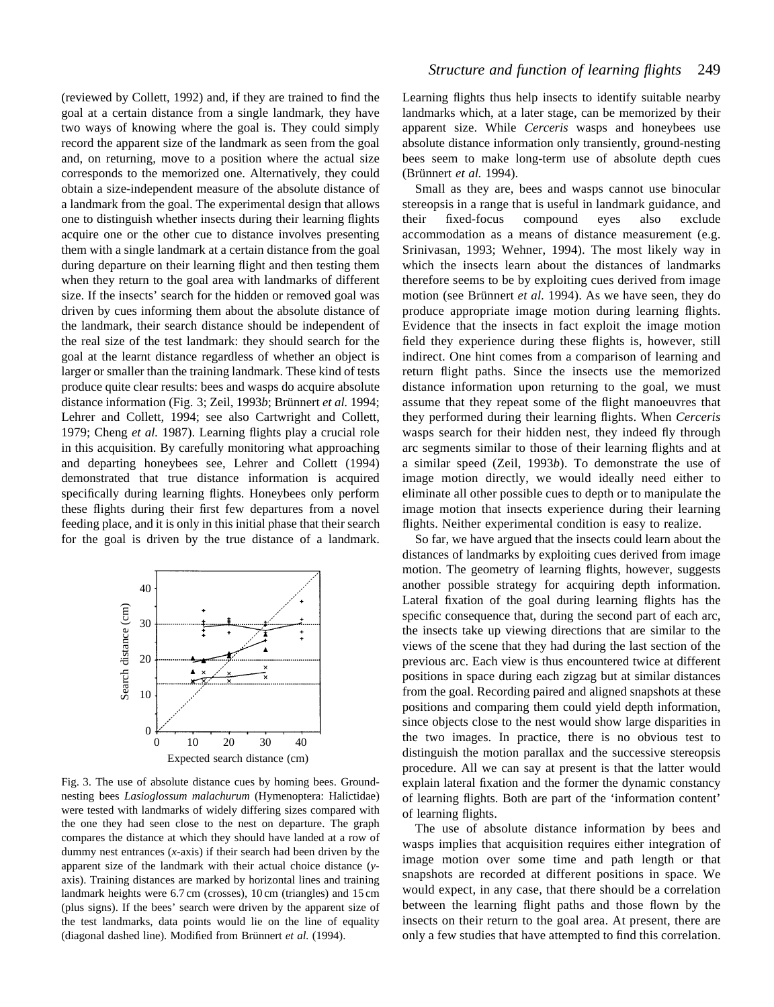(reviewed by Collett, 1992) and, if they are trained to find the goal at a certain distance from a single landmark, they have two ways of knowing where the goal is. They could simply record the apparent size of the landmark as seen from the goal and, on returning, move to a position where the actual size corresponds to the memorized one. Alternatively, they could obtain a size-independent measure of the absolute distance of a landmark from the goal. The experimental design that allows one to distinguish whether insects during their learning flights acquire one or the other cue to distance involves presenting them with a single landmark at a certain distance from the goal during departure on their learning flight and then testing them when they return to the goal area with landmarks of different size. If the insects' search for the hidden or removed goal was driven by cues informing them about the absolute distance of the landmark, their search distance should be independent of the real size of the test landmark: they should search for the goal at the learnt distance regardless of whether an object is larger or smaller than the training landmark. These kind of tests produce quite clear results: bees and wasps do acquire absolute distance information (Fig. 3; Zeil, 1993*b*; Brünnert *et al.* 1994; Lehrer and Collett, 1994; see also Cartwright and Collett, 1979; Cheng *et al.* 1987). Learning flights play a crucial role in this acquisition. By carefully monitoring what approaching and departing honeybees see, Lehrer and Collett (1994) demonstrated that true distance information is acquired specifically during learning flights. Honeybees only perform these flights during their first few departures from a novel feeding place, and it is only in this initial phase that their search for the goal is driven by the true distance of a landmark.



Fig. 3. The use of absolute distance cues by homing bees. Groundnesting bees *Lasioglossum malachurum* (Hymenoptera: Halictidae) were tested with landmarks of widely differing sizes compared with the one they had seen close to the nest on departure. The graph compares the distance at which they should have landed at a row of dummy nest entrances (*x*-axis) if their search had been driven by the apparent size of the landmark with their actual choice distance (*y*axis). Training distances are marked by horizontal lines and training landmark heights were 6.7 cm (crosses), 10 cm (triangles) and 15 cm (plus signs). If the bees' search were driven by the apparent size of the test landmarks, data points would lie on the line of equality (diagonal dashed line). Modified from Brünnert *et al.* (1994).

Learning flights thus help insects to identify suitable nearby landmarks which, at a later stage, can be memorized by their apparent size. While *Cerceris* wasps and honeybees use absolute distance information only transiently, ground-nesting bees seem to make long-term use of absolute depth cues (Brünnert *et al.* 1994).

Small as they are, bees and wasps cannot use binocular stereopsis in a range that is useful in landmark guidance, and their fixed-focus compound eyes also exclude accommodation as a means of distance measurement (e.g. Srinivasan, 1993; Wehner, 1994). The most likely way in which the insects learn about the distances of landmarks therefore seems to be by exploiting cues derived from image motion (see Brünnert *et al.* 1994). As we have seen, they do produce appropriate image motion during learning flights. Evidence that the insects in fact exploit the image motion field they experience during these flights is, however, still indirect. One hint comes from a comparison of learning and return flight paths. Since the insects use the memorized distance information upon returning to the goal, we must assume that they repeat some of the flight manoeuvres that they performed during their learning flights. When *Cerceris* wasps search for their hidden nest, they indeed fly through arc segments similar to those of their learning flights and at a similar speed (Zeil, 1993*b*). To demonstrate the use of image motion directly, we would ideally need either to eliminate all other possible cues to depth or to manipulate the image motion that insects experience during their learning flights. Neither experimental condition is easy to realize.

So far, we have argued that the insects could learn about the distances of landmarks by exploiting cues derived from image motion. The geometry of learning flights, however, suggests another possible strategy for acquiring depth information. Lateral fixation of the goal during learning flights has the specific consequence that, during the second part of each arc, the insects take up viewing directions that are similar to the views of the scene that they had during the last section of the previous arc. Each view is thus encountered twice at different positions in space during each zigzag but at similar distances from the goal. Recording paired and aligned snapshots at these positions and comparing them could yield depth information, since objects close to the nest would show large disparities in the two images. In practice, there is no obvious test to distinguish the motion parallax and the successive stereopsis procedure. All we can say at present is that the latter would explain lateral fixation and the former the dynamic constancy of learning flights. Both are part of the 'information content' of learning flights.

The use of absolute distance information by bees and wasps implies that acquisition requires either integration of image motion over some time and path length or that snapshots are recorded at different positions in space. We would expect, in any case, that there should be a correlation between the learning flight paths and those flown by the insects on their return to the goal area. At present, there are only a few studies that have attempted to find this correlation.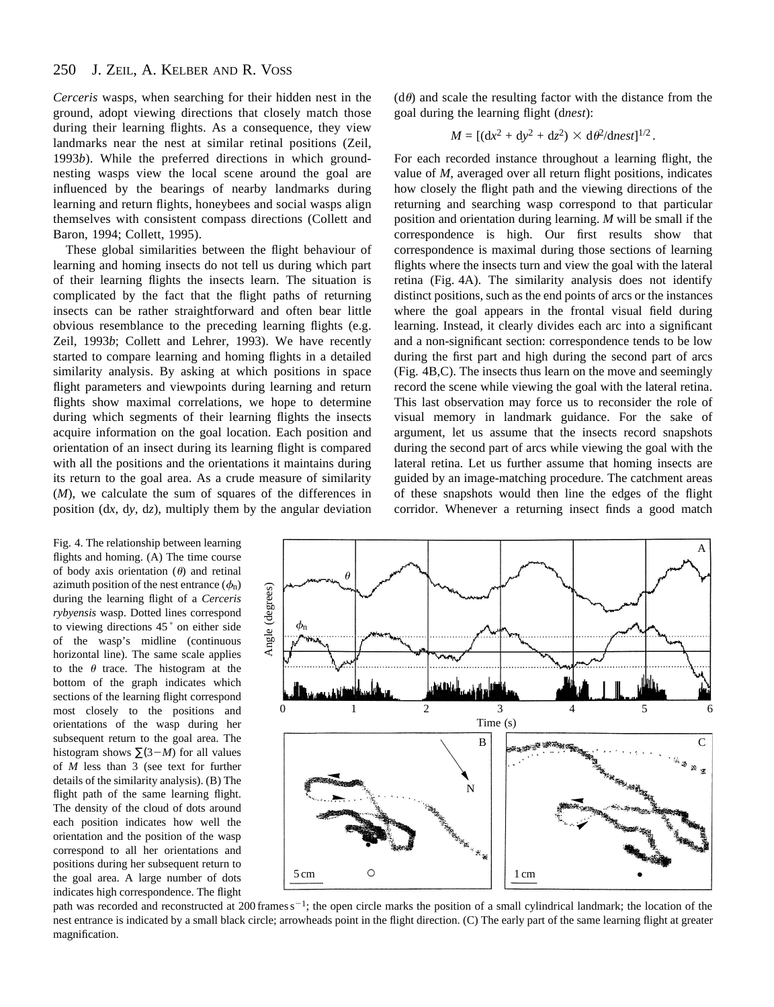#### 250 J. ZEIL, A. KELBER AND R. VOSS

*Cerceris* wasps, when searching for their hidden nest in the ground, adopt viewing directions that closely match those during their learning flights. As a consequence, they view landmarks near the nest at similar retinal positions (Zeil, 1993*b*). While the preferred directions in which groundnesting wasps view the local scene around the goal are influenced by the bearings of nearby landmarks during learning and return flights, honeybees and social wasps align themselves with consistent compass directions (Collett and Baron, 1994; Collett, 1995).

These global similarities between the flight behaviour of learning and homing insects do not tell us during which part of their learning flights the insects learn. The situation is complicated by the fact that the flight paths of returning insects can be rather straightforward and often bear little obvious resemblance to the preceding learning flights (e.g. Zeil, 1993*b*; Collett and Lehrer, 1993). We have recently started to compare learning and homing flights in a detailed similarity analysis. By asking at which positions in space flight parameters and viewpoints during learning and return flights show maximal correlations, we hope to determine during which segments of their learning flights the insects acquire information on the goal location. Each position and orientation of an insect during its learning flight is compared with all the positions and the orientations it maintains during its return to the goal area. As a crude measure of similarity (*M*), we calculate the sum of squares of the differences in position (d*x*, d*y*, d*z*), multiply them by the angular deviation

Fig. 4. The relationship between learning flights and homing. (A) The time course of body axis orientation  $(\theta)$  and retinal azimuth position of the nest entrance  $(\phi_n)$ during the learning flight of a *Cerceris rybyensis* wasp. Dotted lines correspond to viewing directions 45<sup>°</sup> on either side of the wasp's midline (continuous horizontal line). The same scale applies to the  $\theta$  trace. The histogram at the bottom of the graph indicates which sections of the learning flight correspond most closely to the positions and orientations of the wasp during her subsequent return to the goal area. The histogram shows  $\Sigma(3-M)$  for all values of *M* less than 3 (see text for further details of the similarity analysis). (B) The flight path of the same learning flight. The density of the cloud of dots around each position indicates how well the orientation and the position of the wasp correspond to all her orientations and positions during her subsequent return to the goal area. A large number of dots indicates high correspondence. The flight

 $(d\theta)$  and scale the resulting factor with the distance from the goal during the learning flight (d*nest*):

$$
M = \left[ (\mathrm{d}x^2 + \mathrm{d}y^2 + \mathrm{d}z^2) \times \mathrm{d}\theta^2 / \mathrm{d}nest \right]^{1/2}.
$$

For each recorded instance throughout a learning flight, the value of *M*, averaged over all return flight positions, indicates how closely the flight path and the viewing directions of the returning and searching wasp correspond to that particular position and orientation during learning. *M* will be small if the correspondence is high. Our first results show that correspondence is maximal during those sections of learning flights where the insects turn and view the goal with the lateral retina (Fig. 4A). The similarity analysis does not identify distinct positions, such as the end points of arcs or the instances where the goal appears in the frontal visual field during learning. Instead, it clearly divides each arc into a significant and a non-significant section: correspondence tends to be low during the first part and high during the second part of arcs (Fig. 4B,C). The insects thus learn on the move and seemingly record the scene while viewing the goal with the lateral retina. This last observation may force us to reconsider the role of visual memory in landmark guidance. For the sake of argument, let us assume that the insects record snapshots during the second part of arcs while viewing the goal with the lateral retina. Let us further assume that homing insects are guided by an image-matching procedure. The catchment areas of these snapshots would then line the edges of the flight corridor. Whenever a returning insect finds a good match



path was recorded and reconstructed at 200 frames  $s^{-1}$ ; the open circle marks the position of a small cylindrical landmark; the location of the nest entrance is indicated by a small black circle; arrowheads point in the flight direction. (C) The early part of the same learning flight at greater magnification.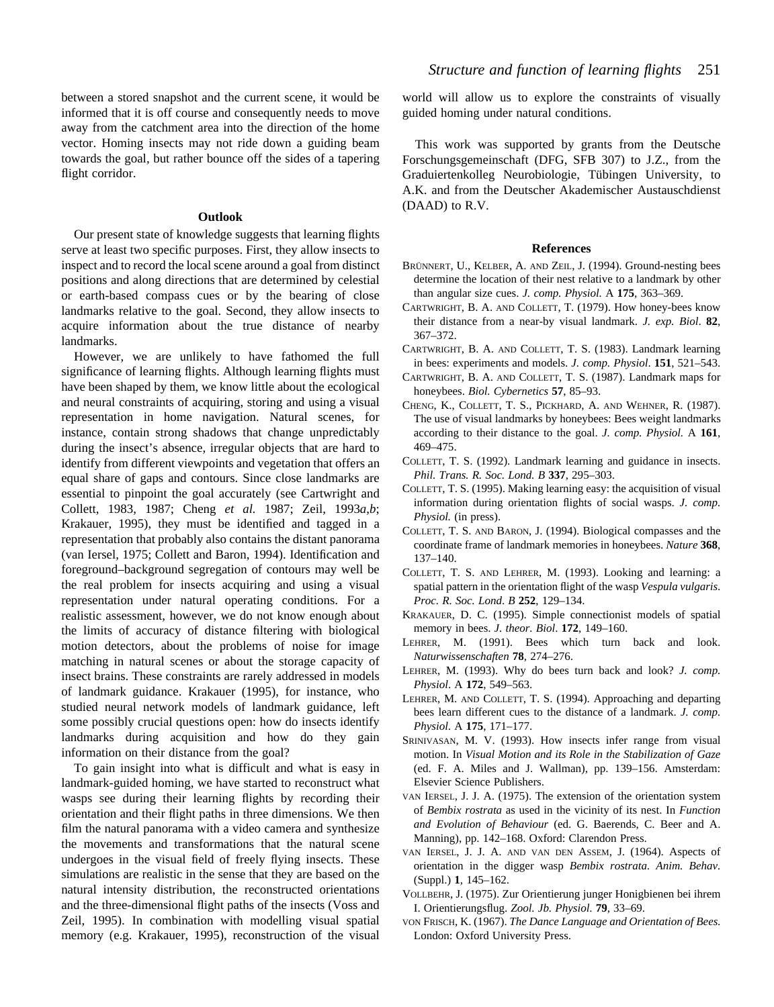between a stored snapshot and the current scene, it would be informed that it is off course and consequently needs to move away from the catchment area into the direction of the home vector. Homing insects may not ride down a guiding beam towards the goal, but rather bounce off the sides of a tapering flight corridor.

### **Outlook**

Our present state of knowledge suggests that learning flights serve at least two specific purposes. First, they allow insects to inspect and to record the local scene around a goal from distinct positions and along directions that are determined by celestial or earth-based compass cues or by the bearing of close landmarks relative to the goal. Second, they allow insects to acquire information about the true distance of nearby landmarks.

However, we are unlikely to have fathomed the full significance of learning flights. Although learning flights must have been shaped by them, we know little about the ecological and neural constraints of acquiring, storing and using a visual representation in home navigation. Natural scenes, for instance, contain strong shadows that change unpredictably during the insect's absence, irregular objects that are hard to identify from different viewpoints and vegetation that offers an equal share of gaps and contours. Since close landmarks are essential to pinpoint the goal accurately (see Cartwright and Collett, 1983, 1987; Cheng *et al.* 1987; Zeil, 1993*a*,*b*; Krakauer, 1995), they must be identified and tagged in a representation that probably also contains the distant panorama (van Iersel, 1975; Collett and Baron, 1994). Identification and foreground–background segregation of contours may well be the real problem for insects acquiring and using a visual representation under natural operating conditions. For a realistic assessment, however, we do not know enough about the limits of accuracy of distance filtering with biological motion detectors, about the problems of noise for image matching in natural scenes or about the storage capacity of insect brains. These constraints are rarely addressed in models of landmark guidance. Krakauer (1995), for instance, who studied neural network models of landmark guidance, left some possibly crucial questions open: how do insects identify landmarks during acquisition and how do they gain information on their distance from the goal?

To gain insight into what is difficult and what is easy in landmark-guided homing, we have started to reconstruct what wasps see during their learning flights by recording their orientation and their flight paths in three dimensions. We then film the natural panorama with a video camera and synthesize the movements and transformations that the natural scene undergoes in the visual field of freely flying insects. These simulations are realistic in the sense that they are based on the natural intensity distribution, the reconstructed orientations and the three-dimensional flight paths of the insects (Voss and Zeil, 1995). In combination with modelling visual spatial memory (e.g. Krakauer, 1995), reconstruction of the visual

world will allow us to explore the constraints of visually guided homing under natural conditions.

This work was supported by grants from the Deutsche Forschungsgemeinschaft (DFG, SFB 307) to J.Z., from the Graduiertenkolleg Neurobiologie, Tübingen University, to A.K. and from the Deutscher Akademischer Austauschdienst (DAAD) to R.V.

## **References**

- BRÜNNERT, U., KELBER, A. AND ZEIL, J. (1994). Ground-nesting bees determine the location of their nest relative to a landmark by other than angular size cues. *J. comp. Physiol.* A **175**, 363–369.
- CARTWRIGHT, B. A. AND COLLETT, T. (1979). How honey-bees know their distance from a near-by visual landmark. *J. exp. Biol*. **82**, 367–372.
- CARTWRIGHT, B. A. AND COLLETT, T. S. (1983). Landmark learning in bees: experiments and models. *J. comp. Physiol*. **151**, 521–543.
- CARTWRIGHT, B. A. AND COLLETT, T. S. (1987). Landmark maps for honeybees. *Biol. Cybernetics* **57**, 85–93.
- CHENG, K., COLLETT, T. S., PICKHARD, A. AND WEHNER, R. (1987). The use of visual landmarks by honeybees: Bees weight landmarks according to their distance to the goal. *J. comp. Physiol.* A **161**, 469–475.
- COLLETT, T. S. (1992). Landmark learning and guidance in insects. *Phil. Trans. R. Soc. Lond. B* **337**, 295–303.
- COLLETT, T. S. (1995). Making learning easy: the acquisition of visual information during orientation flights of social wasps. *J. comp. Physiol.* (in press).
- COLLETT, T. S. AND BARON, J. (1994). Biological compasses and the coordinate frame of landmark memories in honeybees. *Nature* **368**, 137–140.
- COLLETT, T. S. AND LEHRER, M. (1993). Looking and learning: a spatial pattern in the orientation flight of the wasp *Vespula vulgaris*. *Proc. R. Soc. Lond*. *B* **252**, 129–134.
- KRAKAUER, D. C. (1995). Simple connectionist models of spatial memory in bees. *J. theor. Biol*. **172**, 149–160.
- LEHRER, M. (1991). Bees which turn back and look. *Naturwissenschaften* **78**, 274–276.
- LEHRER, M. (1993). Why do bees turn back and look? *J. comp. Physiol*. A **172**, 549–563.
- LEHRER, M. AND COLLETT, T. S. (1994). Approaching and departing bees learn different cues to the distance of a landmark. *J. comp. Physiol*. A **175**, 171–177.
- SRINIVASAN, M. V. (1993). How insects infer range from visual motion. In *Visual Motion and its Role in the Stabilization of Gaze* (ed. F. A. Miles and J. Wallman), pp. 139–156. Amsterdam: Elsevier Science Publishers.
- VAN IERSEL, J. J. A. (1975). The extension of the orientation system of *Bembix rostrata* as used in the vicinity of its nest. In *Function and Evolution of Behaviour* (ed. G. Baerends, C. Beer and A. Manning), pp. 142–168. Oxford: Clarendon Press.
- VAN IERSEL, J. J. A. AND VAN DEN ASSEM, J. (1964). Aspects of orientation in the digger wasp *Bembix rostrata*. *Anim. Behav.* (Suppl.) **1**, 145–162.
- VOLLBEHR, J. (1975). Zur Orientierung junger Honigbienen bei ihrem I. Orientierungsflug. *Zool. Jb. Physiol*. **79**, 33–69.
- VON FRISCH, K. (1967). *The Dance Language and Orientation of Bees*. London: Oxford University Press.